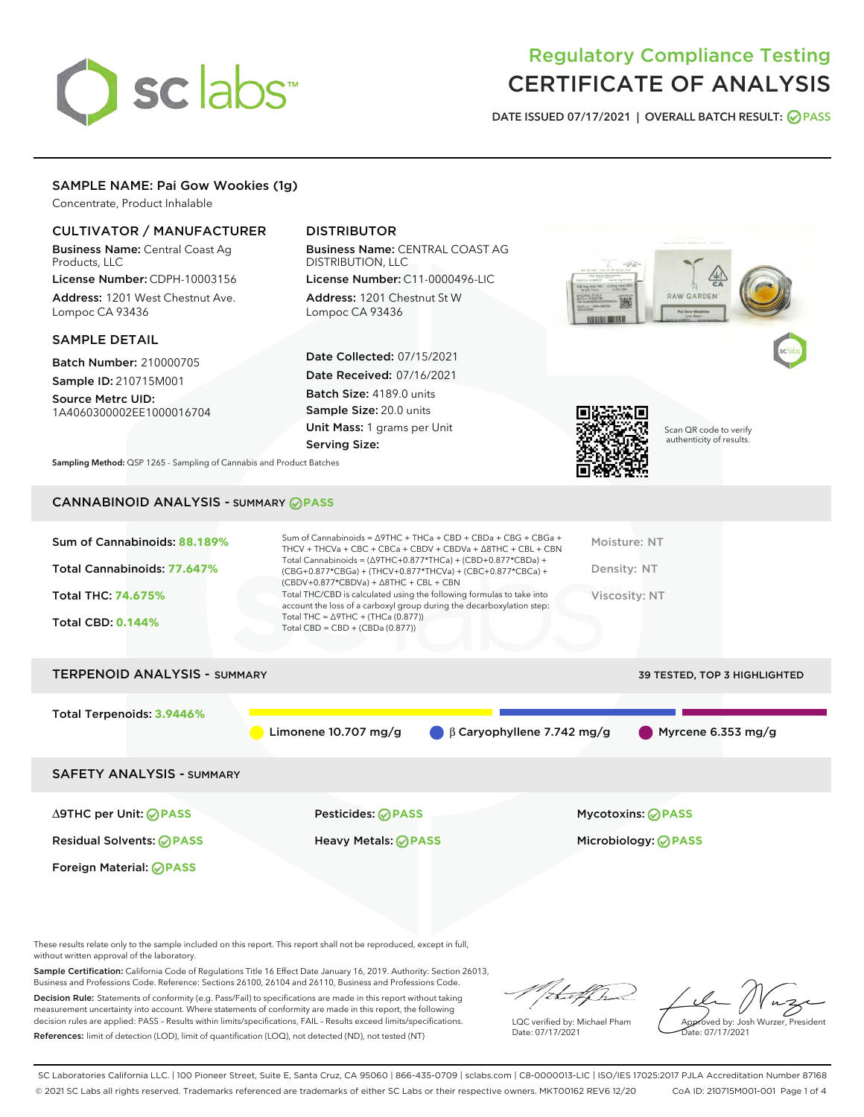# sclabs<sup>\*</sup>

## Regulatory Compliance Testing CERTIFICATE OF ANALYSIS

DATE ISSUED 07/17/2021 | OVERALL BATCH RESULT: @ PASS

### SAMPLE NAME: Pai Gow Wookies (1g)

Concentrate, Product Inhalable

| <b>CULTIVATOR / MANUFACTURER</b><br><b>Business Name: Central Coast Ag.</b><br>Products, LLC<br>License Number: CDPH-10003156<br>Address: 1201 West Chestnut Ave.<br>Lompoc CA 93436 | <b>DISTRIBUTOR</b><br><b>Business Name: CENTRAL COAST AG</b><br><b>DISTRIBUTION, LLC</b><br>License Number: C11-0000496-LIC<br>Address: 1201 Chestnut St W<br>Lompoc CA 93436                                                                                                                                                             | <b>RAW GARDEN</b><br>DOAP, LLC - DOPH-1000054<br>Pal Gow Wookies<br>Live Resin |
|--------------------------------------------------------------------------------------------------------------------------------------------------------------------------------------|-------------------------------------------------------------------------------------------------------------------------------------------------------------------------------------------------------------------------------------------------------------------------------------------------------------------------------------------|--------------------------------------------------------------------------------|
| <b>SAMPLE DETAIL</b><br><b>Batch Number: 210000705</b>                                                                                                                               | <b>Date Collected: 07/15/2021</b>                                                                                                                                                                                                                                                                                                         |                                                                                |
| Sample ID: 210715M001<br>Source Metrc UID:<br>1A4060300002EE1000016704                                                                                                               | <b>Date Received: 07/16/2021</b><br>Batch Size: 4189.0 units<br>Sample Size: 20.0 units<br>Unit Mass: 1 grams per Unit                                                                                                                                                                                                                    | Scan QR code to verify                                                         |
| Sampling Method: QSP 1265 - Sampling of Cannabis and Product Batches                                                                                                                 | <b>Serving Size:</b>                                                                                                                                                                                                                                                                                                                      | authenticity of results.                                                       |
| <b>CANNABINOID ANALYSIS - SUMMARY OPASS</b>                                                                                                                                          |                                                                                                                                                                                                                                                                                                                                           |                                                                                |
| Sum of Cannabinoids: 88.189%<br>Total Cannabinoids: 77.647%                                                                                                                          | Sum of Cannabinoids = $\triangle$ 9THC + THCa + CBD + CBDa + CBG + CBGa +<br>THCV + THCVa + CBC + CBCa + CBDV + CBDVa + $\Delta$ 8THC + CBL + CBN<br>Total Cannabinoids = $(\Delta$ 9THC+0.877*THCa) + (CBD+0.877*CBDa) +<br>(CBG+0.877*CBGa) + (THCV+0.877*THCVa) + (CBC+0.877*CBCa) +<br>$(CBDV+0.877*CBDVa) + \Delta 8THC + CBL + CBN$ | Moisture: NT<br>Density: NT                                                    |

Total THC: **74.675%**

Total CBD: **0.144%**

| <b>TERPENOID ANALYSIS - SUMMARY</b> |                        |                                  | <b>39 TESTED, TOP 3 HIGHLIGHTED</b> |
|-------------------------------------|------------------------|----------------------------------|-------------------------------------|
| Total Terpenoids: 3.9446%           | Limonene $10.707$ mg/g | $\beta$ Caryophyllene 7.742 mg/g | $\bigcirc$ Myrcene 6.353 mg/g       |
| <b>SAFETY ANALYSIS - SUMMARY</b>    |                        |                                  |                                     |
|                                     |                        |                                  |                                     |

Total THC/CBD is calculated using the following formulas to take into account the loss of a carboxyl group during the decarboxylation step:

Foreign Material: **PASS**

Total THC = ∆9THC + (THCa (0.877)) Total CBD = CBD + (CBDa (0.877))

Residual Solvents: **PASS** Heavy Metals: **PASS** Microbiology: **PASS**

∆9THC per Unit: **PASS** Pesticides: **PASS** Mycotoxins: **PASS**

Viscosity: NT

These results relate only to the sample included on this report. This report shall not be reproduced, except in full, without written approval of the laboratory.

Sample Certification: California Code of Regulations Title 16 Effect Date January 16, 2019. Authority: Section 26013, Business and Professions Code. Reference: Sections 26100, 26104 and 26110, Business and Professions Code.

Decision Rule: Statements of conformity (e.g. Pass/Fail) to specifications are made in this report without taking measurement uncertainty into account. Where statements of conformity are made in this report, the following decision rules are applied: PASS – Results within limits/specifications, FAIL – Results exceed limits/specifications. References: limit of detection (LOD), limit of quantification (LOQ), not detected (ND), not tested (NT)

that fh

LQC verified by: Michael Pham Date: 07/17/2021

Approved by: Josh Wurzer, President Date: 07/17/2021

SC Laboratories California LLC. | 100 Pioneer Street, Suite E, Santa Cruz, CA 95060 | 866-435-0709 | sclabs.com | C8-0000013-LIC | ISO/IES 17025:2017 PJLA Accreditation Number 87168 © 2021 SC Labs all rights reserved. Trademarks referenced are trademarks of either SC Labs or their respective owners. MKT00162 REV6 12/20 CoA ID: 210715M001-001 Page 1 of 4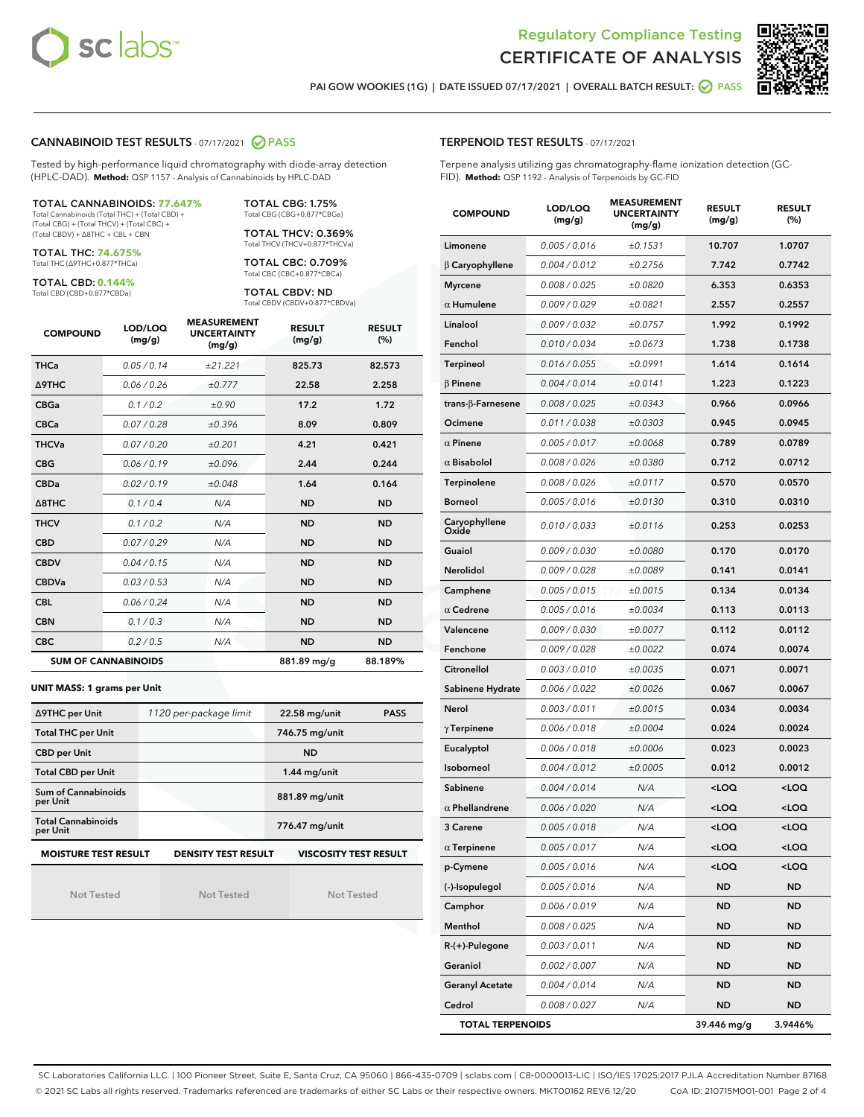



PAI GOW WOOKIES (1G) | DATE ISSUED 07/17/2021 | OVERALL BATCH RESULT: @ PASS

#### CANNABINOID TEST RESULTS - 07/17/2021 2 PASS

Tested by high-performance liquid chromatography with diode-array detection (HPLC-DAD). **Method:** QSP 1157 - Analysis of Cannabinoids by HPLC-DAD

#### TOTAL CANNABINOIDS: **77.647%** Total Cannabinoids (Total THC) + (Total CBD) +

(Total CBG) + (Total THCV) + (Total CBC) + (Total CBDV) + ∆8THC + CBL + CBN

TOTAL THC: **74.675%** Total THC (∆9THC+0.877\*THCa)

TOTAL CBD: **0.144%**

Total CBD (CBD+0.877\*CBDa)

TOTAL CBG: 1.75% Total CBG (CBG+0.877\*CBGa)

TOTAL THCV: 0.369% Total THCV (THCV+0.877\*THCVa)

TOTAL CBC: 0.709% Total CBC (CBC+0.877\*CBCa)

TOTAL CBDV: ND Total CBDV (CBDV+0.877\*CBDVa)

| <b>COMPOUND</b> | LOD/LOQ<br>(mg/g)          | <b>MEASUREMENT</b><br><b>UNCERTAINTY</b><br>(mg/g) | <b>RESULT</b><br>(mg/g) | <b>RESULT</b><br>(%) |
|-----------------|----------------------------|----------------------------------------------------|-------------------------|----------------------|
| <b>THCa</b>     | 0.05/0.14                  | ±21.221                                            | 825.73                  | 82.573               |
| Δ9THC           | 0.06 / 0.26                | ±0.777                                             | 22.58                   | 2.258                |
| <b>CBGa</b>     | 0.1 / 0.2                  | ±0.90                                              | 17.2                    | 1.72                 |
| <b>CBCa</b>     | 0.07/0.28                  | ±0.396                                             | 8.09                    | 0.809                |
| <b>THCVa</b>    | 0.07/0.20                  | ±0.201                                             | 4.21                    | 0.421                |
| <b>CBG</b>      | 0.06/0.19                  | ±0.096                                             | 2.44                    | 0.244                |
| <b>CBDa</b>     | 0.02/0.19                  | ±0.048                                             | 1.64                    | 0.164                |
| A8THC           | 0.1/0.4                    | N/A                                                | <b>ND</b>               | <b>ND</b>            |
| <b>THCV</b>     | 0.1/0.2                    | N/A                                                | <b>ND</b>               | <b>ND</b>            |
| <b>CBD</b>      | 0.07/0.29                  | N/A                                                | <b>ND</b>               | <b>ND</b>            |
| <b>CBDV</b>     | 0.04 / 0.15                | N/A                                                | <b>ND</b>               | <b>ND</b>            |
| <b>CBDVa</b>    | 0.03/0.53                  | N/A                                                | <b>ND</b>               | <b>ND</b>            |
| <b>CBL</b>      | 0.06 / 0.24                | N/A                                                | <b>ND</b>               | <b>ND</b>            |
| <b>CBN</b>      | 0.1/0.3                    | N/A                                                | <b>ND</b>               | <b>ND</b>            |
| <b>CBC</b>      | 0.2 / 0.5                  | N/A                                                | <b>ND</b>               | <b>ND</b>            |
|                 | <b>SUM OF CANNABINOIDS</b> |                                                    | 881.89 mg/g             | 88.189%              |

#### **UNIT MASS: 1 grams per Unit**

| ∆9THC per Unit                        | 1120 per-package limit     | 22.58 mg/unit<br><b>PASS</b> |  |
|---------------------------------------|----------------------------|------------------------------|--|
| <b>Total THC per Unit</b>             |                            | 746.75 mg/unit               |  |
| <b>CBD per Unit</b>                   |                            | <b>ND</b>                    |  |
| <b>Total CBD per Unit</b>             |                            | $1.44$ mg/unit               |  |
| Sum of Cannabinoids<br>per Unit       |                            | 881.89 mg/unit               |  |
| <b>Total Cannabinoids</b><br>per Unit |                            | 776.47 mg/unit               |  |
| <b>MOISTURE TEST RESULT</b>           | <b>DENSITY TEST RESULT</b> | <b>VISCOSITY TEST RESULT</b> |  |

Not Tested

Not Tested

Not Tested

#### TERPENOID TEST RESULTS - 07/17/2021

Terpene analysis utilizing gas chromatography-flame ionization detection (GC-FID). **Method:** QSP 1192 - Analysis of Terpenoids by GC-FID

| <b>COMPOUND</b>          | LOD/LOQ<br>(mg/g) | <b>MEASUREMENT</b><br><b>UNCERTAINTY</b><br>(mq/q) | <b>RESULT</b><br>(mg/g)                         | <b>RESULT</b><br>(%) |
|--------------------------|-------------------|----------------------------------------------------|-------------------------------------------------|----------------------|
| Limonene                 | 0.005 / 0.016     | ±0.1531                                            | 10.707                                          | 1.0707               |
| $\beta$ Caryophyllene    | 0.004 / 0.012     | ±0.2756                                            | 7.742                                           | 0.7742               |
| <b>Myrcene</b>           | 0.008 / 0.025     | ±0.0820                                            | 6.353                                           | 0.6353               |
| $\alpha$ Humulene        | 0.009/0.029       | ±0.0821                                            | 2.557                                           | 0.2557               |
| Linalool                 | 0.009 / 0.032     | ±0.0757                                            | 1.992                                           | 0.1992               |
| Fenchol                  | 0.010 / 0.034     | ±0.0673                                            | 1.738                                           | 0.1738               |
| Terpineol                | 0.016 / 0.055     | ±0.0991                                            | 1.614                                           | 0.1614               |
| $\beta$ Pinene           | 0.004 / 0.014     | ±0.0141                                            | 1.223                                           | 0.1223               |
| $trans-\beta$ -Farnesene | 0.008 / 0.025     | ±0.0343                                            | 0.966                                           | 0.0966               |
| Ocimene                  | 0.011 / 0.038     | ±0.0303                                            | 0.945                                           | 0.0945               |
| $\alpha$ Pinene          | 0.005 / 0.017     | ±0.0068                                            | 0.789                                           | 0.0789               |
| $\alpha$ Bisabolol       | 0.008 / 0.026     | ±0.0380                                            | 0.712                                           | 0.0712               |
| Terpinolene              | 0.008 / 0.026     | ±0.0117                                            | 0.570                                           | 0.0570               |
| <b>Borneol</b>           | 0.005 / 0.016     | ±0.0130                                            | 0.310                                           | 0.0310               |
| Caryophyllene<br>Oxide   | 0.010 / 0.033     | ±0.0116                                            | 0.253                                           | 0.0253               |
| Guaiol                   | 0.009 / 0.030     | ±0.0080                                            | 0.170                                           | 0.0170               |
| Nerolidol                | 0.009 / 0.028     | ±0.0089                                            | 0.141                                           | 0.0141               |
| Camphene                 | 0.005 / 0.015     | ±0.0015                                            | 0.134                                           | 0.0134               |
| $\alpha$ Cedrene         | 0.005 / 0.016     | ±0.0034                                            | 0.113                                           | 0.0113               |
| Valencene                | 0.009 / 0.030     | ±0.0077                                            | 0.112                                           | 0.0112               |
| Fenchone                 | 0.009 / 0.028     | ±0.0022                                            | 0.074                                           | 0.0074               |
| Citronellol              | 0.003 / 0.010     | ±0.0035                                            | 0.071                                           | 0.0071               |
| Sabinene Hydrate         | 0.006 / 0.022     | ±0.0026                                            | 0.067                                           | 0.0067               |
| Nerol                    | 0.003 / 0.011     | ±0.0015                                            | 0.034                                           | 0.0034               |
| $\gamma$ Terpinene       | 0.006 / 0.018     | ±0.0004                                            | 0.024                                           | 0.0024               |
| Eucalyptol               | 0.006 / 0.018     | ±0.0006                                            | 0.023                                           | 0.0023               |
| Isoborneol               | 0.004 / 0.012     | ±0.0005                                            | 0.012                                           | 0.0012               |
| Sabinene                 | 0.004 / 0.014     | N/A                                                | <loq< th=""><th><loq< th=""></loq<></th></loq<> | <loq< th=""></loq<>  |
| $\alpha$ Phellandrene    | 0.006 / 0.020     | N/A                                                | <loq< th=""><th><loq< th=""></loq<></th></loq<> | <loq< th=""></loq<>  |
| 3 Carene                 | 0.005 / 0.018     | N/A                                                | <loq< th=""><th><loq< th=""></loq<></th></loq<> | <loq< th=""></loq<>  |
| $\alpha$ Terpinene       | 0.005 / 0.017     | N/A                                                | <loq< th=""><th><loq< th=""></loq<></th></loq<> | <loq< th=""></loq<>  |
| p-Cymene                 | 0.005 / 0.016     | N/A                                                | <loq< th=""><th><loq< th=""></loq<></th></loq<> | <loq< th=""></loq<>  |
| (-)-Isopulegol           | 0.005 / 0.016     | N/A                                                | ND                                              | <b>ND</b>            |
| Camphor                  | 0.006 / 0.019     | N/A                                                | ND                                              | <b>ND</b>            |
| Menthol                  | 0.008 / 0.025     | N/A                                                | ND                                              | ND                   |
| R-(+)-Pulegone           | 0.003 / 0.011     | N/A                                                | ND                                              | ND                   |
| Geraniol                 | 0.002 / 0.007     | N/A                                                | ND                                              | <b>ND</b>            |
| <b>Geranyl Acetate</b>   | 0.004 / 0.014     | N/A                                                | ND                                              | ND                   |
| Cedrol                   | 0.008 / 0.027     | N/A                                                | ND                                              | ND                   |
| <b>TOTAL TERPENOIDS</b>  |                   |                                                    | 39.446 mg/g                                     | 3.9446%              |

SC Laboratories California LLC. | 100 Pioneer Street, Suite E, Santa Cruz, CA 95060 | 866-435-0709 | sclabs.com | C8-0000013-LIC | ISO/IES 17025:2017 PJLA Accreditation Number 87168 © 2021 SC Labs all rights reserved. Trademarks referenced are trademarks of either SC Labs or their respective owners. MKT00162 REV6 12/20 CoA ID: 210715M001-001 Page 2 of 4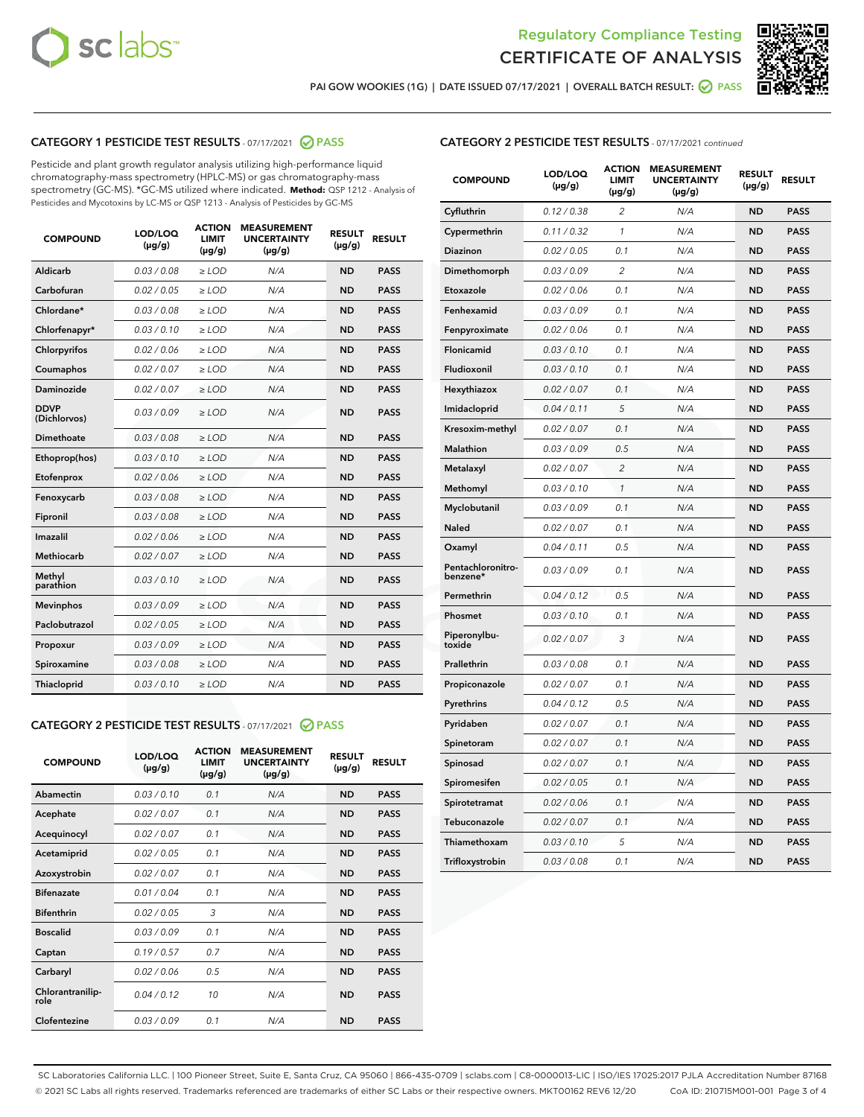



PAI GOW WOOKIES (1G) | DATE ISSUED 07/17/2021 | OVERALL BATCH RESULT: @ PASS

### CATEGORY 1 PESTICIDE TEST RESULTS - 07/17/2021 2 PASS

Pesticide and plant growth regulator analysis utilizing high-performance liquid chromatography-mass spectrometry (HPLC-MS) or gas chromatography-mass spectrometry (GC-MS). \*GC-MS utilized where indicated. **Method:** QSP 1212 - Analysis of Pesticides and Mycotoxins by LC-MS or QSP 1213 - Analysis of Pesticides by GC-MS

| <b>COMPOUND</b>             | LOD/LOQ<br>$(\mu g/g)$ | <b>ACTION</b><br><b>LIMIT</b><br>$(\mu g/g)$ | <b>MEASUREMENT</b><br><b>UNCERTAINTY</b><br>$(\mu g/g)$ | <b>RESULT</b><br>$(\mu g/g)$ | <b>RESULT</b> |
|-----------------------------|------------------------|----------------------------------------------|---------------------------------------------------------|------------------------------|---------------|
| Aldicarb                    | 0.03/0.08              | $>$ LOD                                      | N/A                                                     | <b>ND</b>                    | <b>PASS</b>   |
| Carbofuran                  | 0.02 / 0.05            | $\ge$ LOD                                    | N/A                                                     | <b>ND</b>                    | <b>PASS</b>   |
| Chlordane*                  | 0.03 / 0.08            | $\ge$ LOD                                    | N/A                                                     | <b>ND</b>                    | <b>PASS</b>   |
| Chlorfenapyr*               | 0.03/0.10              | $\ge$ LOD                                    | N/A                                                     | <b>ND</b>                    | <b>PASS</b>   |
| Chlorpyrifos                | 0.02 / 0.06            | $\ge$ LOD                                    | N/A                                                     | <b>ND</b>                    | <b>PASS</b>   |
| Coumaphos                   | 0.02 / 0.07            | $\ge$ LOD                                    | N/A                                                     | <b>ND</b>                    | <b>PASS</b>   |
| Daminozide                  | 0.02/0.07              | $>$ LOD                                      | N/A                                                     | <b>ND</b>                    | <b>PASS</b>   |
| <b>DDVP</b><br>(Dichlorvos) | 0.03/0.09              | $\ge$ LOD                                    | N/A                                                     | <b>ND</b>                    | <b>PASS</b>   |
| <b>Dimethoate</b>           | 0.03/0.08              | $\ge$ LOD                                    | N/A                                                     | <b>ND</b>                    | <b>PASS</b>   |
| Ethoprop(hos)               | 0.03/0.10              | $\ge$ LOD                                    | N/A                                                     | <b>ND</b>                    | <b>PASS</b>   |
| Etofenprox                  | 0.02 / 0.06            | $\ge$ LOD                                    | N/A                                                     | <b>ND</b>                    | <b>PASS</b>   |
| Fenoxycarb                  | 0.03/0.08              | $\ge$ LOD                                    | N/A                                                     | <b>ND</b>                    | <b>PASS</b>   |
| Fipronil                    | 0.03/0.08              | $\ge$ LOD                                    | N/A                                                     | <b>ND</b>                    | <b>PASS</b>   |
| Imazalil                    | 0.02 / 0.06            | $>$ LOD                                      | N/A                                                     | <b>ND</b>                    | <b>PASS</b>   |
| Methiocarb                  | 0.02 / 0.07            | $>$ LOD                                      | N/A                                                     | <b>ND</b>                    | <b>PASS</b>   |
| Methyl<br>parathion         | 0.03/0.10              | $>$ LOD                                      | N/A                                                     | <b>ND</b>                    | <b>PASS</b>   |
| <b>Mevinphos</b>            | 0.03/0.09              | $\ge$ LOD                                    | N/A                                                     | <b>ND</b>                    | <b>PASS</b>   |
| Paclobutrazol               | 0.02 / 0.05            | $>$ LOD                                      | N/A                                                     | <b>ND</b>                    | <b>PASS</b>   |
| Propoxur                    | 0.03/0.09              | $\ge$ LOD                                    | N/A                                                     | <b>ND</b>                    | <b>PASS</b>   |
| Spiroxamine                 | 0.03 / 0.08            | $\ge$ LOD                                    | N/A                                                     | <b>ND</b>                    | <b>PASS</b>   |
| Thiacloprid                 | 0.03/0.10              | $\ge$ LOD                                    | N/A                                                     | <b>ND</b>                    | <b>PASS</b>   |

#### CATEGORY 2 PESTICIDE TEST RESULTS - 07/17/2021 @ PASS

| <b>COMPOUND</b>          | LOD/LOO<br>$(\mu g/g)$ | <b>ACTION</b><br>LIMIT<br>$(\mu g/g)$ | <b>MEASUREMENT</b><br><b>UNCERTAINTY</b><br>$(\mu g/g)$ | <b>RESULT</b><br>$(\mu g/g)$ | <b>RESULT</b> |  |
|--------------------------|------------------------|---------------------------------------|---------------------------------------------------------|------------------------------|---------------|--|
| Abamectin                | 0.03/0.10              | 0.1                                   | N/A                                                     | <b>ND</b>                    | <b>PASS</b>   |  |
| Acephate                 | 0.02/0.07              | 0.1                                   | N/A                                                     | <b>ND</b>                    | <b>PASS</b>   |  |
| Acequinocyl              | 0.02/0.07              | 0.1                                   | N/A                                                     | <b>ND</b>                    | <b>PASS</b>   |  |
| Acetamiprid              | 0.02 / 0.05            | 0.1                                   | N/A                                                     | <b>ND</b>                    | <b>PASS</b>   |  |
| Azoxystrobin             | 0.02/0.07              | 0.1                                   | N/A                                                     | <b>ND</b>                    | <b>PASS</b>   |  |
| <b>Bifenazate</b>        | 0.01 / 0.04            | 0.1                                   | N/A                                                     | <b>ND</b>                    | <b>PASS</b>   |  |
| <b>Bifenthrin</b>        | 0.02 / 0.05            | 3                                     | N/A                                                     | <b>ND</b>                    | <b>PASS</b>   |  |
| <b>Boscalid</b>          | 0.03/0.09              | 0.1                                   | N/A                                                     | <b>ND</b>                    | <b>PASS</b>   |  |
| Captan                   | 0.19/0.57              | 0.7                                   | N/A                                                     | <b>ND</b>                    | <b>PASS</b>   |  |
| Carbaryl                 | 0.02/0.06              | 0.5                                   | N/A                                                     | <b>ND</b>                    | <b>PASS</b>   |  |
| Chlorantranilip-<br>role | 0.04/0.12              | 10                                    | N/A                                                     | <b>ND</b>                    | <b>PASS</b>   |  |
| Clofentezine             | 0.03/0.09              | 0.1                                   | N/A                                                     | <b>ND</b>                    | <b>PASS</b>   |  |

| <b>COMPOUND</b>               | LOD/LOQ<br>(µg/g) | <b>ACTION</b><br>LIMIT<br>$(\mu g/g)$ | <b>MEASUREMENT</b><br><b>UNCERTAINTY</b><br>$(\mu g/g)$ | <b>RESULT</b><br>(µg/g) | <b>RESULT</b> |
|-------------------------------|-------------------|---------------------------------------|---------------------------------------------------------|-------------------------|---------------|
| Cyfluthrin                    | 0.12 / 0.38       | $\overline{2}$                        | N/A                                                     | <b>ND</b>               | <b>PASS</b>   |
| Cypermethrin                  | 0.11 / 0.32       | 1                                     | N/A                                                     | <b>ND</b>               | <b>PASS</b>   |
| Diazinon                      | 0.02 / 0.05       | 0.1                                   | N/A                                                     | <b>ND</b>               | <b>PASS</b>   |
| Dimethomorph                  | 0.03/0.09         | $\overline{2}$                        | N/A                                                     | <b>ND</b>               | <b>PASS</b>   |
| Etoxazole                     | 0.02 / 0.06       | 0.1                                   | N/A                                                     | <b>ND</b>               | <b>PASS</b>   |
| Fenhexamid                    | 0.03 / 0.09       | 0.1                                   | N/A                                                     | <b>ND</b>               | <b>PASS</b>   |
| Fenpyroximate                 | 0.02 / 0.06       | 0.1                                   | N/A                                                     | <b>ND</b>               | <b>PASS</b>   |
| <b>Flonicamid</b>             | 0.03 / 0.10       | 0.1                                   | N/A                                                     | <b>ND</b>               | <b>PASS</b>   |
| Fludioxonil                   | 0.03 / 0.10       | 0.1                                   | N/A                                                     | <b>ND</b>               | <b>PASS</b>   |
| Hexythiazox                   | 0.02 / 0.07       | 0.1                                   | N/A                                                     | <b>ND</b>               | <b>PASS</b>   |
| Imidacloprid                  | 0.04 / 0.11       | 5                                     | N/A                                                     | <b>ND</b>               | <b>PASS</b>   |
| Kresoxim-methyl               | 0.02 / 0.07       | 0.1                                   | N/A                                                     | <b>ND</b>               | <b>PASS</b>   |
| Malathion                     | 0.03 / 0.09       | 0.5                                   | N/A                                                     | <b>ND</b>               | <b>PASS</b>   |
| Metalaxyl                     | 0.02 / 0.07       | $\overline{c}$                        | N/A                                                     | <b>ND</b>               | <b>PASS</b>   |
| Methomyl                      | 0.03 / 0.10       | $\mathcal{I}$                         | N/A                                                     | <b>ND</b>               | <b>PASS</b>   |
| Myclobutanil                  | 0.03/0.09         | 0.1                                   | N/A                                                     | <b>ND</b>               | <b>PASS</b>   |
| Naled                         | 0.02 / 0.07       | 0.1                                   | N/A                                                     | ND                      | <b>PASS</b>   |
| Oxamyl                        | 0.04 / 0.11       | 0.5                                   | N/A                                                     | <b>ND</b>               | <b>PASS</b>   |
| Pentachloronitro-<br>benzene* | 0.03 / 0.09       | 0.1                                   | N/A                                                     | <b>ND</b>               | <b>PASS</b>   |
| Permethrin                    | 0.04/0.12         | 0.5                                   | N/A                                                     | <b>ND</b>               | <b>PASS</b>   |
| Phosmet                       | 0.03 / 0.10       | 0.1                                   | N/A                                                     | <b>ND</b>               | <b>PASS</b>   |
| Piperonylbu-<br>toxide        | 0.02 / 0.07       | 3                                     | N/A                                                     | <b>ND</b>               | <b>PASS</b>   |
| Prallethrin                   | 0.03 / 0.08       | 0.1                                   | N/A                                                     | <b>ND</b>               | <b>PASS</b>   |
| Propiconazole                 | 0.02 / 0.07       | 0.1                                   | N/A                                                     | <b>ND</b>               | <b>PASS</b>   |
| Pyrethrins                    | 0.04 / 0.12       | 0.5                                   | N/A                                                     | <b>ND</b>               | <b>PASS</b>   |
| Pyridaben                     | 0.02 / 0.07       | 0.1                                   | N/A                                                     | <b>ND</b>               | <b>PASS</b>   |
| Spinetoram                    | 0.02 / 0.07       | 0.1                                   | N/A                                                     | ND                      | <b>PASS</b>   |
| Spinosad                      | 0.02 / 0.07       | 0.1                                   | N/A                                                     | <b>ND</b>               | <b>PASS</b>   |
| Spiromesifen                  | 0.02 / 0.05       | 0.1                                   | N/A                                                     | <b>ND</b>               | <b>PASS</b>   |
| Spirotetramat                 | 0.02 / 0.06       | 0.1                                   | N/A                                                     | <b>ND</b>               | <b>PASS</b>   |
| Tebuconazole                  | 0.02 / 0.07       | 0.1                                   | N/A                                                     | <b>ND</b>               | <b>PASS</b>   |
| Thiamethoxam                  | 0.03 / 0.10       | 5                                     | N/A                                                     | <b>ND</b>               | <b>PASS</b>   |
| Trifloxystrobin               | 0.03 / 0.08       | 0.1                                   | N/A                                                     | <b>ND</b>               | <b>PASS</b>   |

SC Laboratories California LLC. | 100 Pioneer Street, Suite E, Santa Cruz, CA 95060 | 866-435-0709 | sclabs.com | C8-0000013-LIC | ISO/IES 17025:2017 PJLA Accreditation Number 87168 © 2021 SC Labs all rights reserved. Trademarks referenced are trademarks of either SC Labs or their respective owners. MKT00162 REV6 12/20 CoA ID: 210715M001-001 Page 3 of 4